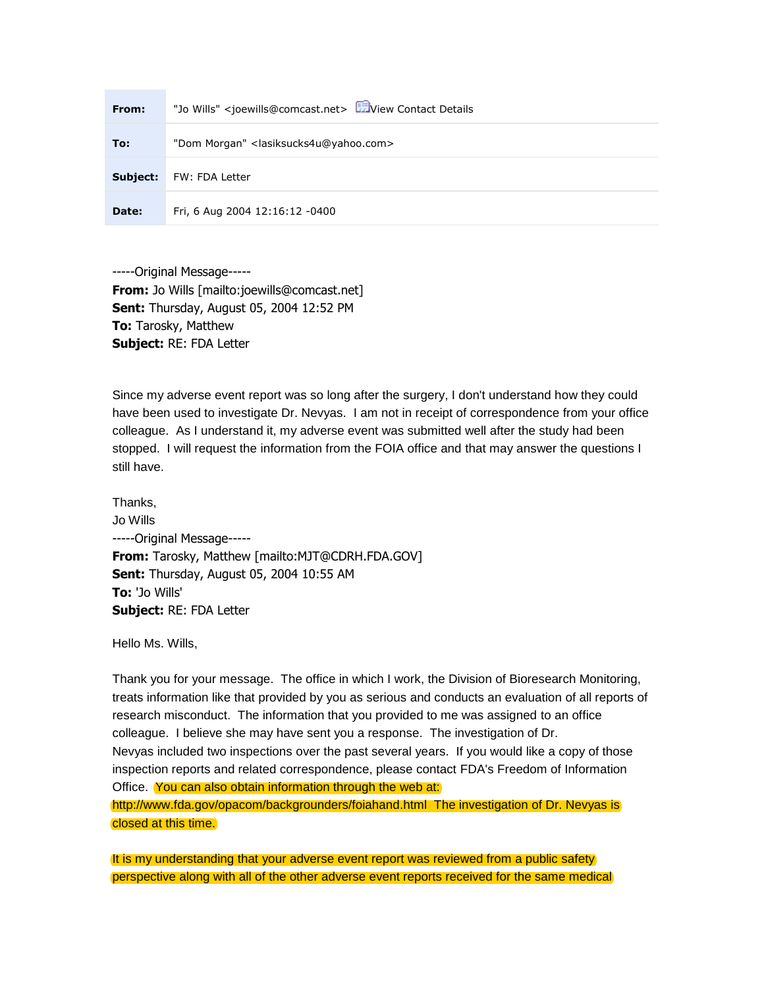| From:    | "Jo Wills" <joewills@comcast.net> EDView Contact Details</joewills@comcast.net> |
|----------|---------------------------------------------------------------------------------|
| To:      | "Dom Morgan" <lasiksucks4u@yahoo.com></lasiksucks4u@yahoo.com>                  |
| Subject: | FW: FDA Letter                                                                  |
| Date:    | Fri, 6 Aug 2004 12:16:12 -0400                                                  |

-----Original Message----- **From:** Jo Wills [mailto:joewills@comcast.net] **Sent:** Thursday, August 05, 2004 12:52 PM **To:** Tarosky, Matthew **Subject:** RE: FDA Letter

Since my adverse event report was so long after the surgery, I don't understand how they could have been used to investigate Dr. Nevyas. I am not in receipt of correspondence from your office colleague. As I understand it, my adverse event was submitted well after the study had been stopped. I will request the information from the FOIA office and that may answer the questions I still have.

Thanks, Jo Wills -----Original Message----- **From:** Tarosky, Matthew [mailto:MJT@CDRH.FDA.GOV] **Sent:** Thursday, August 05, 2004 10:55 AM **To:** 'Jo Wills' **Subject:** RE: FDA Letter

Hello Ms. Wills,

Thank you for your message. The office in which I work, the Division of Bioresearch Monitoring, treats information like that provided by you as serious and conducts an evaluation of all reports of research misconduct. The information that you provided to me was assigned to an office colleague. I believe she may have sent you a response. The investigation of Dr. Nevyas included two inspections over the past several years. If you would like a copy of those inspection reports and related correspondence, please contact FDA's Freedom of Information Office. You can also obtain information through the web at: <http://www.fda.gov/opacom/backgrounders/foiahand.html> The investigation of Dr. Nevyas is closed at this time.

It is my understanding that your adverse event report was reviewed from a public safety perspective along with all of the other adverse event reports received for the same medical